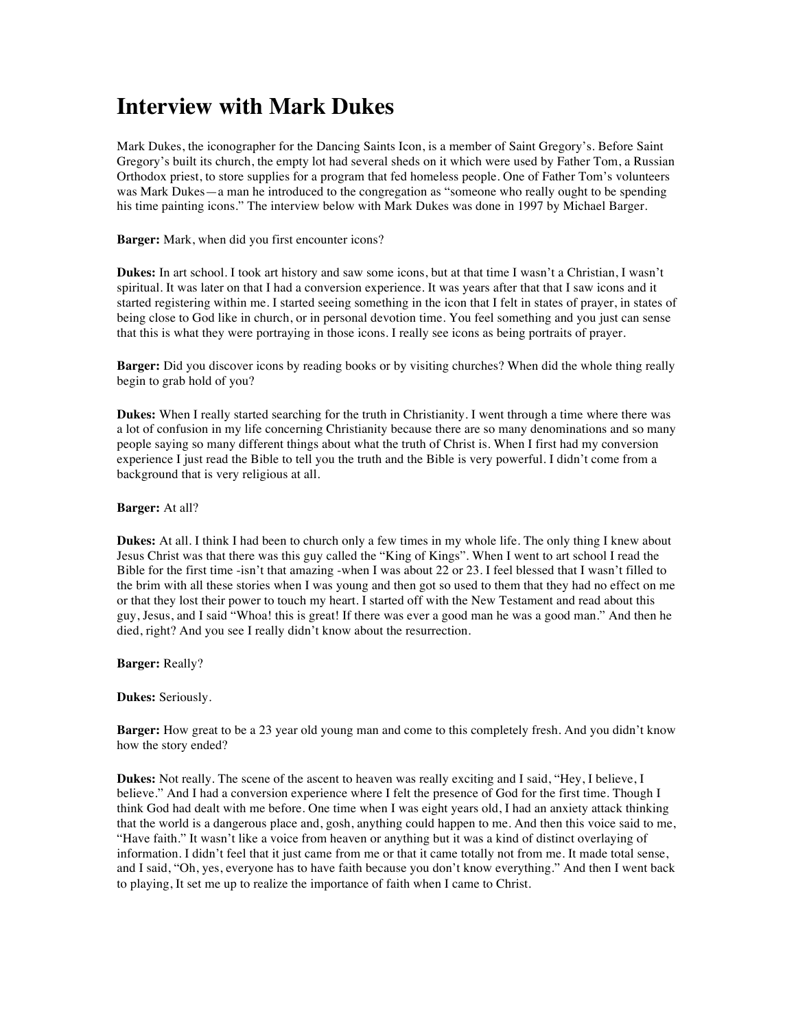## **Interview with Mark Dukes**

Mark Dukes, the iconographer for the Dancing Saints Icon, is a member of Saint Gregory's. Before Saint Gregory's built its church, the empty lot had several sheds on it which were used by Father Tom, a Russian Orthodox priest, to store supplies for a program that fed homeless people. One of Father Tom's volunteers was Mark Dukes—a man he introduced to the congregation as "someone who really ought to be spending his time painting icons." The interview below with Mark Dukes was done in 1997 by Michael Barger.

**Barger:** Mark, when did you first encounter icons?

**Dukes:** In art school. I took art history and saw some icons, but at that time I wasn't a Christian, I wasn't spiritual. It was later on that I had a conversion experience. It was years after that that I saw icons and it started registering within me. I started seeing something in the icon that I felt in states of prayer, in states of being close to God like in church, or in personal devotion time. You feel something and you just can sense that this is what they were portraying in those icons. I really see icons as being portraits of prayer.

**Barger:** Did you discover icons by reading books or by visiting churches? When did the whole thing really begin to grab hold of you?

**Dukes:** When I really started searching for the truth in Christianity. I went through a time where there was a lot of confusion in my life concerning Christianity because there are so many denominations and so many people saying so many different things about what the truth of Christ is. When I first had my conversion experience I just read the Bible to tell you the truth and the Bible is very powerful. I didn't come from a background that is very religious at all.

**Barger:** At all?

**Dukes:** At all. I think I had been to church only a few times in my whole life. The only thing I knew about Jesus Christ was that there was this guy called the "King of Kings". When I went to art school I read the Bible for the first time -isn't that amazing -when I was about 22 or 23. I feel blessed that I wasn't filled to the brim with all these stories when I was young and then got so used to them that they had no effect on me or that they lost their power to touch my heart. I started off with the New Testament and read about this guy, Jesus, and I said "Whoa! this is great! If there was ever a good man he was a good man." And then he died, right? And you see I really didn't know about the resurrection.

**Barger:** Really?

**Dukes:** Seriously.

**Barger:** How great to be a 23 year old young man and come to this completely fresh. And you didn't know how the story ended?

**Dukes:** Not really. The scene of the ascent to heaven was really exciting and I said, "Hey, I believe, I believe." And I had a conversion experience where I felt the presence of God for the first time. Though I think God had dealt with me before. One time when I was eight years old, I had an anxiety attack thinking that the world is a dangerous place and, gosh, anything could happen to me. And then this voice said to me, "Have faith." It wasn't like a voice from heaven or anything but it was a kind of distinct overlaying of information. I didn't feel that it just came from me or that it came totally not from me. It made total sense, and I said, "Oh, yes, everyone has to have faith because you don't know everything." And then I went back to playing, It set me up to realize the importance of faith when I came to Christ.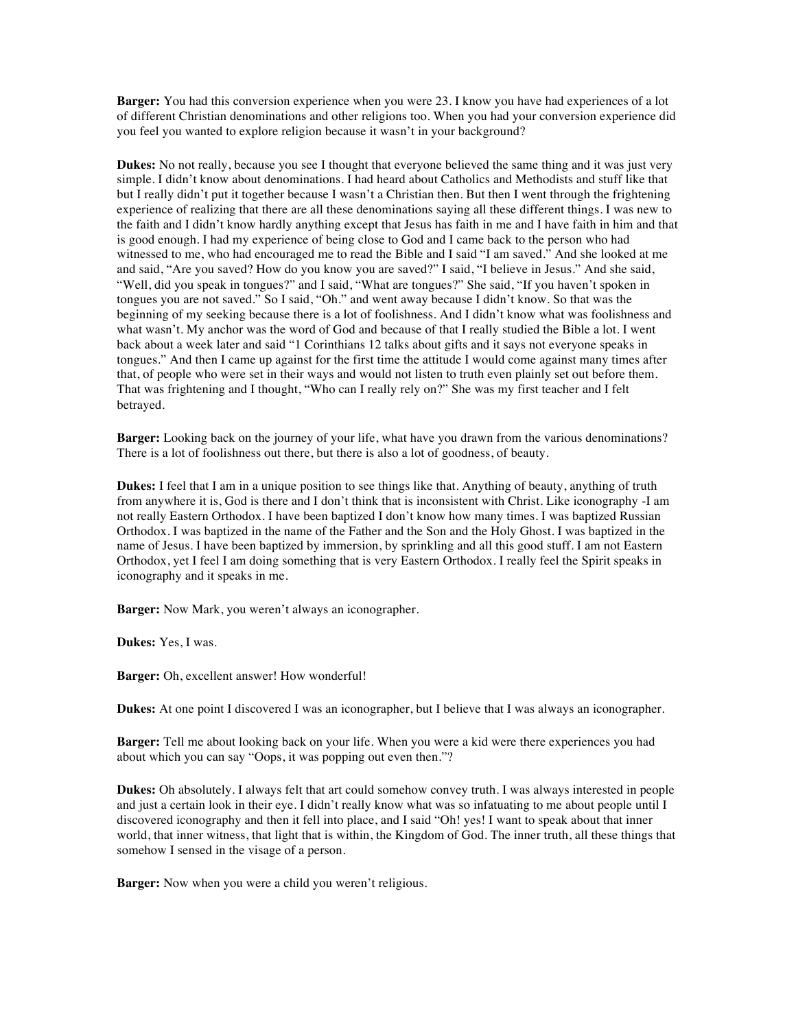**Barger:** You had this conversion experience when you were 23. I know you have had experiences of a lot of different Christian denominations and other religions too. When you had your conversion experience did you feel you wanted to explore religion because it wasn't in your background?

**Dukes:** No not really, because you see I thought that everyone believed the same thing and it was just very simple. I didn't know about denominations. I had heard about Catholics and Methodists and stuff like that but I really didn't put it together because I wasn't a Christian then. But then I went through the frightening experience of realizing that there are all these denominations saying all these different things. I was new to the faith and I didn't know hardly anything except that Jesus has faith in me and I have faith in him and that is good enough. I had my experience of being close to God and I came back to the person who had witnessed to me, who had encouraged me to read the Bible and I said "I am saved." And she looked at me and said, "Are you saved? How do you know you are saved?" I said, "I believe in Jesus." And she said, "Well, did you speak in tongues?" and I said, "What are tongues?" She said, "If you haven't spoken in tongues you are not saved." So I said, "Oh." and went away because I didn't know. So that was the beginning of my seeking because there is a lot of foolishness. And I didn't know what was foolishness and what wasn't. My anchor was the word of God and because of that I really studied the Bible a lot. I went back about a week later and said "1 Corinthians 12 talks about gifts and it says not everyone speaks in tongues." And then I came up against for the first time the attitude I would come against many times after that, of people who were set in their ways and would not listen to truth even plainly set out before them. That was frightening and I thought, "Who can I really rely on?" She was my first teacher and I felt betrayed.

**Barger:** Looking back on the journey of your life, what have you drawn from the various denominations? There is a lot of foolishness out there, but there is also a lot of goodness, of beauty.

**Dukes:** I feel that I am in a unique position to see things like that. Anything of beauty, anything of truth from anywhere it is, God is there and I don't think that is inconsistent with Christ. Like iconography -I am not really Eastern Orthodox. I have been baptized I don't know how many times. I was baptized Russian Orthodox. I was baptized in the name of the Father and the Son and the Holy Ghost. I was baptized in the name of Jesus. I have been baptized by immersion, by sprinkling and all this good stuff. I am not Eastern Orthodox, yet I feel I am doing something that is very Eastern Orthodox. I really feel the Spirit speaks in iconography and it speaks in me.

**Barger:** Now Mark, you weren't always an iconographer.

**Dukes:** Yes, I was.

**Barger:** Oh, excellent answer! How wonderful!

**Dukes:** At one point I discovered I was an iconographer, but I believe that I was always an iconographer.

**Barger:** Tell me about looking back on your life. When you were a kid were there experiences you had about which you can say "Oops, it was popping out even then."?

**Dukes:** Oh absolutely. I always felt that art could somehow convey truth. I was always interested in people and just a certain look in their eye. I didn't really know what was so infatuating to me about people until I discovered iconography and then it fell into place, and I said "Oh! yes! I want to speak about that inner world, that inner witness, that light that is within, the Kingdom of God. The inner truth, all these things that somehow I sensed in the visage of a person.

**Barger:** Now when you were a child you weren't religious.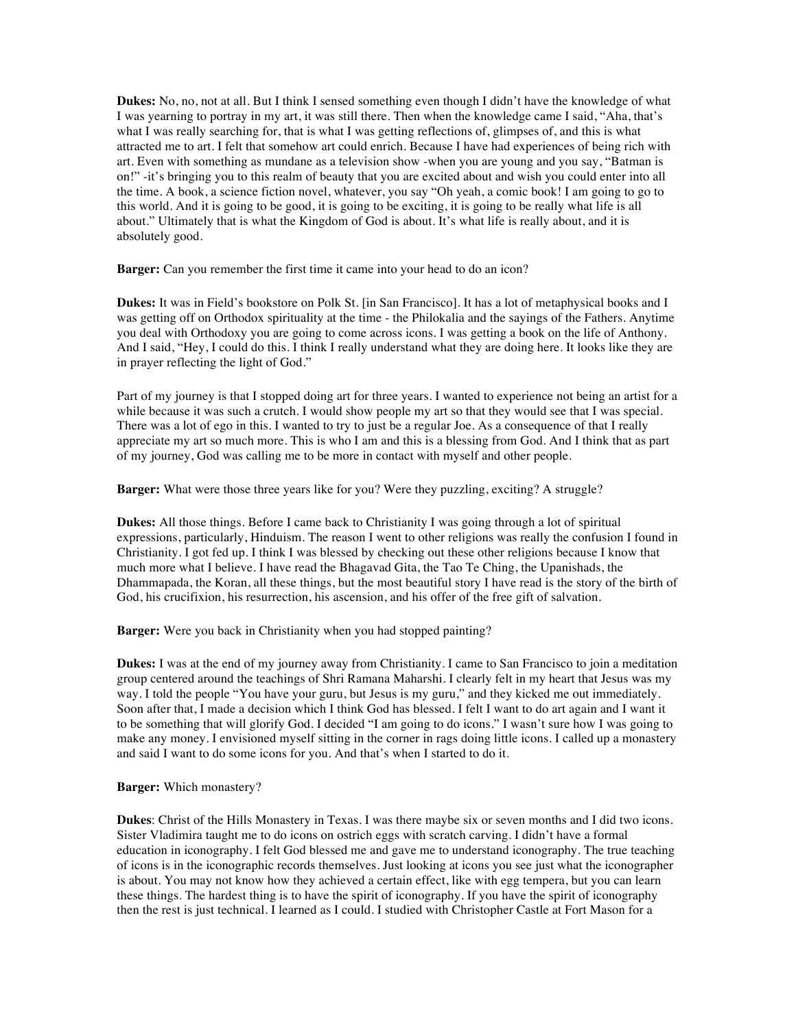**Dukes:** No, no, not at all. But I think I sensed something even though I didn't have the knowledge of what I was yearning to portray in my art, it was still there. Then when the knowledge came I said, "Aha, that's what I was really searching for, that is what I was getting reflections of, glimpses of, and this is what attracted me to art. I felt that somehow art could enrich. Because I have had experiences of being rich with art. Even with something as mundane as a television show -when you are young and you say, "Batman is on!" -it's bringing you to this realm of beauty that you are excited about and wish you could enter into all the time. A book, a science fiction novel, whatever, you say "Oh yeah, a comic book! I am going to go to this world. And it is going to be good, it is going to be exciting, it is going to be really what life is all about." Ultimately that is what the Kingdom of God is about. It's what life is really about, and it is absolutely good.

**Barger:** Can you remember the first time it came into your head to do an icon?

**Dukes:** It was in Field's bookstore on Polk St. [in San Francisco]. It has a lot of metaphysical books and I was getting off on Orthodox spirituality at the time - the Philokalia and the sayings of the Fathers. Anytime you deal with Orthodoxy you are going to come across icons. I was getting a book on the life of Anthony. And I said, "Hey, I could do this. I think I really understand what they are doing here. It looks like they are in prayer reflecting the light of God."

Part of my journey is that I stopped doing art for three years. I wanted to experience not being an artist for a while because it was such a crutch. I would show people my art so that they would see that I was special. There was a lot of ego in this. I wanted to try to just be a regular Joe. As a consequence of that I really appreciate my art so much more. This is who I am and this is a blessing from God. And I think that as part of my journey, God was calling me to be more in contact with myself and other people.

**Barger:** What were those three years like for you? Were they puzzling, exciting? A struggle?

**Dukes:** All those things. Before I came back to Christianity I was going through a lot of spiritual expressions, particularly, Hinduism. The reason I went to other religions was really the confusion I found in Christianity. I got fed up. I think I was blessed by checking out these other religions because I know that much more what I believe. I have read the Bhagavad Gita, the Tao Te Ching, the Upanishads, the Dhammapada, the Koran, all these things, but the most beautiful story I have read is the story of the birth of God, his crucifixion, his resurrection, his ascension, and his offer of the free gift of salvation.

**Barger:** Were you back in Christianity when you had stopped painting?

**Dukes:** I was at the end of my journey away from Christianity. I came to San Francisco to join a meditation group centered around the teachings of Shri Ramana Maharshi. I clearly felt in my heart that Jesus was my way. I told the people "You have your guru, but Jesus is my guru," and they kicked me out immediately. Soon after that, I made a decision which I think God has blessed. I felt I want to do art again and I want it to be something that will glorify God. I decided "I am going to do icons." I wasn't sure how I was going to make any money. I envisioned myself sitting in the corner in rags doing little icons. I called up a monastery and said I want to do some icons for you. And that's when I started to do it.

## **Barger:** Which monastery?

**Dukes**: Christ of the Hills Monastery in Texas. I was there maybe six or seven months and I did two icons. Sister Vladimira taught me to do icons on ostrich eggs with scratch carving. I didn't have a formal education in iconography. I felt God blessed me and gave me to understand iconography. The true teaching of icons is in the iconographic records themselves. Just looking at icons you see just what the iconographer is about. You may not know how they achieved a certain effect, like with egg tempera, but you can learn these things. The hardest thing is to have the spirit of iconography. If you have the spirit of iconography then the rest is just technical. I learned as I could. I studied with Christopher Castle at Fort Mason for a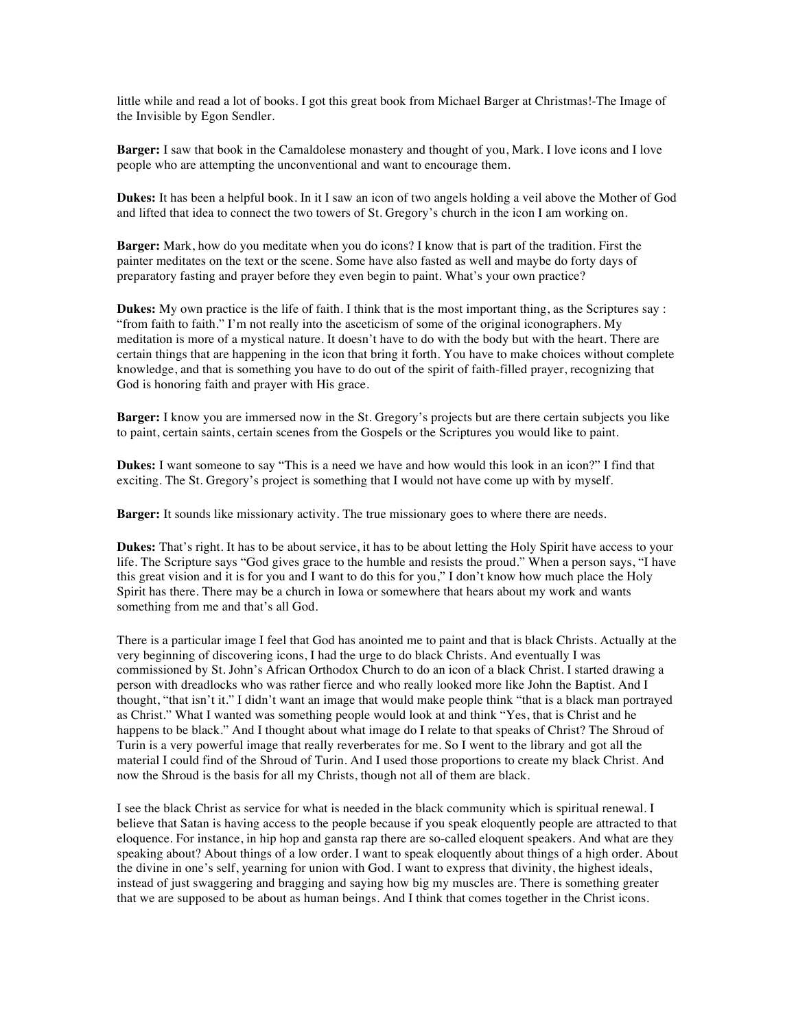little while and read a lot of books. I got this great book from Michael Barger at Christmas!-The Image of the Invisible by Egon Sendler.

**Barger:** I saw that book in the Camaldolese monastery and thought of you, Mark. I love icons and I love people who are attempting the unconventional and want to encourage them.

**Dukes:** It has been a helpful book. In it I saw an icon of two angels holding a veil above the Mother of God and lifted that idea to connect the two towers of St. Gregory's church in the icon I am working on.

**Barger:** Mark, how do you meditate when you do icons? I know that is part of the tradition. First the painter meditates on the text or the scene. Some have also fasted as well and maybe do forty days of preparatory fasting and prayer before they even begin to paint. What's your own practice?

**Dukes:** My own practice is the life of faith. I think that is the most important thing, as the Scriptures say : "from faith to faith." I'm not really into the asceticism of some of the original iconographers. My meditation is more of a mystical nature. It doesn't have to do with the body but with the heart. There are certain things that are happening in the icon that bring it forth. You have to make choices without complete knowledge, and that is something you have to do out of the spirit of faith-filled prayer, recognizing that God is honoring faith and prayer with His grace.

**Barger:** I know you are immersed now in the St. Gregory's projects but are there certain subjects you like to paint, certain saints, certain scenes from the Gospels or the Scriptures you would like to paint.

**Dukes:** I want someone to say "This is a need we have and how would this look in an icon?" I find that exciting. The St. Gregory's project is something that I would not have come up with by myself.

**Barger:** It sounds like missionary activity. The true missionary goes to where there are needs.

**Dukes:** That's right. It has to be about service, it has to be about letting the Holy Spirit have access to your life. The Scripture says "God gives grace to the humble and resists the proud." When a person says, "I have this great vision and it is for you and I want to do this for you," I don't know how much place the Holy Spirit has there. There may be a church in Iowa or somewhere that hears about my work and wants something from me and that's all God.

There is a particular image I feel that God has anointed me to paint and that is black Christs. Actually at the very beginning of discovering icons, I had the urge to do black Christs. And eventually I was commissioned by St. John's African Orthodox Church to do an icon of a black Christ. I started drawing a person with dreadlocks who was rather fierce and who really looked more like John the Baptist. And I thought, "that isn't it." I didn't want an image that would make people think "that is a black man portrayed as Christ." What I wanted was something people would look at and think "Yes, that is Christ and he happens to be black." And I thought about what image do I relate to that speaks of Christ? The Shroud of Turin is a very powerful image that really reverberates for me. So I went to the library and got all the material I could find of the Shroud of Turin. And I used those proportions to create my black Christ. And now the Shroud is the basis for all my Christs, though not all of them are black.

I see the black Christ as service for what is needed in the black community which is spiritual renewal. I believe that Satan is having access to the people because if you speak eloquently people are attracted to that eloquence. For instance, in hip hop and gansta rap there are so-called eloquent speakers. And what are they speaking about? About things of a low order. I want to speak eloquently about things of a high order. About the divine in one's self, yearning for union with God. I want to express that divinity, the highest ideals, instead of just swaggering and bragging and saying how big my muscles are. There is something greater that we are supposed to be about as human beings. And I think that comes together in the Christ icons.